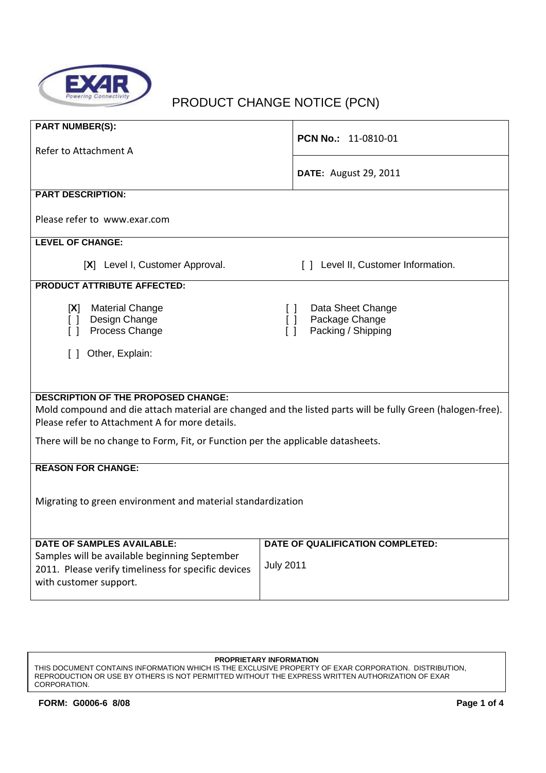

# PRODUCT CHANGE NOTICE (PCN)

| <b>PART NUMBER(S):</b><br>Refer to Attachment A                                      | PCN No.: 11-0810-01                                                                                        |  |  |  |  |  |
|--------------------------------------------------------------------------------------|------------------------------------------------------------------------------------------------------------|--|--|--|--|--|
|                                                                                      | <b>DATE:</b> August 29, 2011                                                                               |  |  |  |  |  |
| <b>PART DESCRIPTION:</b>                                                             |                                                                                                            |  |  |  |  |  |
| Please refer to www.exar.com                                                         |                                                                                                            |  |  |  |  |  |
| <b>LEVEL OF CHANGE:</b>                                                              |                                                                                                            |  |  |  |  |  |
| [X] Level I, Customer Approval.                                                      | [] Level II, Customer Information.                                                                         |  |  |  |  |  |
| <b>PRODUCT ATTRIBUTE AFFECTED:</b>                                                   |                                                                                                            |  |  |  |  |  |
| <b>Material Change</b><br> X <br>Design Change<br>$\Box$<br>Process Change<br>$\Box$ | Data Sheet Change<br>ΓI<br>Package Change<br>$\Box$<br>Packing / Shipping<br>$\Box$                        |  |  |  |  |  |
| [ ] Other, Explain:                                                                  |                                                                                                            |  |  |  |  |  |
|                                                                                      |                                                                                                            |  |  |  |  |  |
|                                                                                      |                                                                                                            |  |  |  |  |  |
|                                                                                      |                                                                                                            |  |  |  |  |  |
| <b>DESCRIPTION OF THE PROPOSED CHANGE:</b>                                           |                                                                                                            |  |  |  |  |  |
|                                                                                      | Mold compound and die attach material are changed and the listed parts will be fully Green (halogen-free). |  |  |  |  |  |
| Please refer to Attachment A for more details.                                       |                                                                                                            |  |  |  |  |  |
| There will be no change to Form, Fit, or Function per the applicable datasheets.     |                                                                                                            |  |  |  |  |  |
|                                                                                      |                                                                                                            |  |  |  |  |  |
| <b>REASON FOR CHANGE:</b>                                                            |                                                                                                            |  |  |  |  |  |
|                                                                                      |                                                                                                            |  |  |  |  |  |
|                                                                                      |                                                                                                            |  |  |  |  |  |
| Migrating to green environment and material standardization                          |                                                                                                            |  |  |  |  |  |
|                                                                                      |                                                                                                            |  |  |  |  |  |
|                                                                                      |                                                                                                            |  |  |  |  |  |
| <b>DATE OF SAMPLES AVAILABLE:</b>                                                    | DATE OF QUALIFICATION COMPLETED:                                                                           |  |  |  |  |  |
| Samples will be available beginning September                                        |                                                                                                            |  |  |  |  |  |
| 2011. Please verify timeliness for specific devices                                  | <b>July 2011</b>                                                                                           |  |  |  |  |  |
| with customer support.                                                               |                                                                                                            |  |  |  |  |  |
|                                                                                      |                                                                                                            |  |  |  |  |  |

#### **PROPRIETARY INFORMATION**

THIS DOCUMENT CONTAINS INFORMATION WHICH IS THE EXCLUSIVE PROPERTY OF EXAR CORPORATION. DISTRIBUTION, REPRODUCTION OR USE BY OTHERS IS NOT PERMITTED WITHOUT THE EXPRESS WRITTEN AUTHORIZATION OF EXAR CORPORATION.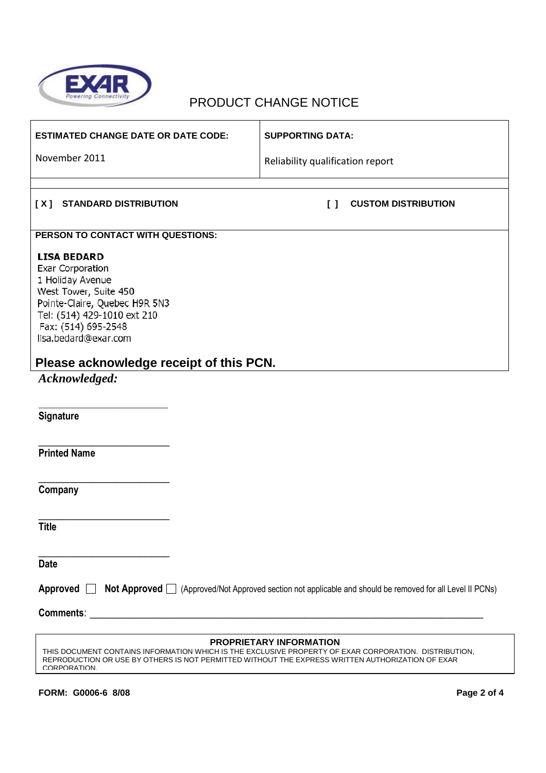

# PRODUCT CHANGE NOTICE

| <b>ESTIMATED CHANGE DATE OR DATE CODE:</b>                                                                                                                                                                                      | <b>SUPPORTING DATA:</b>              |  |  |  |  |
|---------------------------------------------------------------------------------------------------------------------------------------------------------------------------------------------------------------------------------|--------------------------------------|--|--|--|--|
| November 2011                                                                                                                                                                                                                   | Reliability qualification report     |  |  |  |  |
|                                                                                                                                                                                                                                 |                                      |  |  |  |  |
| <b>STANDARD DISTRIBUTION</b><br>[X]                                                                                                                                                                                             | <b>CUSTOM DISTRIBUTION</b><br>$\Box$ |  |  |  |  |
| PERSON TO CONTACT WITH QUESTIONS:                                                                                                                                                                                               |                                      |  |  |  |  |
| <b>LISA BEDARD</b><br><b>Exar Corporation</b><br>1 Holiday Avenue<br>West Tower, Suite 450<br>Pointe-Claire, Quebec H9R 5N3<br>Tel: (514) 429-1010 ext 210<br>Fax: (514) 695-2548<br>lisa.bedard@exar.com                       |                                      |  |  |  |  |
| Please acknowledge receipt of this PCN.                                                                                                                                                                                         |                                      |  |  |  |  |
| Acknowledged:                                                                                                                                                                                                                   |                                      |  |  |  |  |
| Signature                                                                                                                                                                                                                       |                                      |  |  |  |  |
| <b>Printed Name</b>                                                                                                                                                                                                             |                                      |  |  |  |  |
| Company                                                                                                                                                                                                                         |                                      |  |  |  |  |
| <b>Title</b>                                                                                                                                                                                                                    |                                      |  |  |  |  |
| <b>Date</b>                                                                                                                                                                                                                     |                                      |  |  |  |  |
| Approved $\Box$<br>Not Approved □ (Approved/Not Approved section not applicable and should be removed for all Level II PCNs)                                                                                                    |                                      |  |  |  |  |
| <b>Comments:</b><br><u> 1989 - Johann Barn, mars and de Brasilian (b. 1989)</u>                                                                                                                                                 |                                      |  |  |  |  |
| THIS DOCUMENT CONTAINS INFORMATION WHICH IS THE EXCLUSIVE PROPERTY OF EXAR CORPORATION. DISTRIBUTION,<br>REPRODUCTION OR USE BY OTHERS IS NOT PERMITTED WITHOUT THE EXPRESS WRITTEN AUTHORIZATION OF EXAR<br><b>CORPORATION</b> | <b>PROPRIETARY INFORMATION</b>       |  |  |  |  |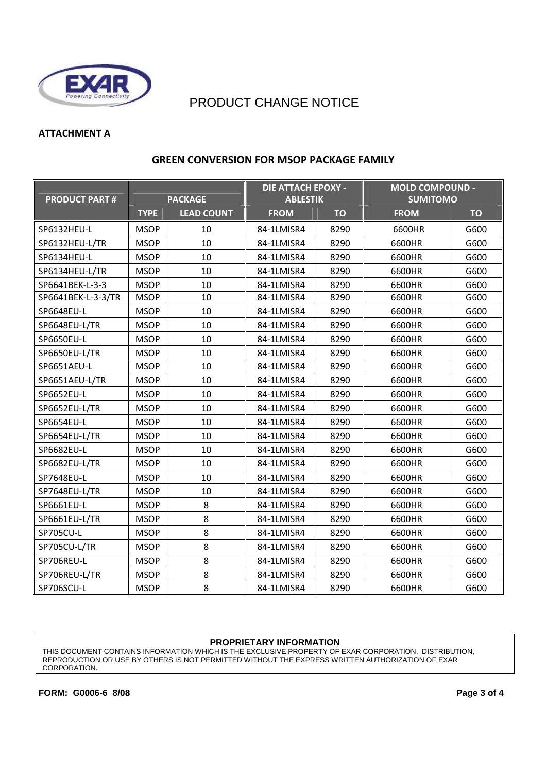

### PRODUCT CHANGE NOTICE

### **ATTACHMENT A**

| <b>PRODUCT PART#</b> |             | <b>PACKAGE</b>    | <b>DIE ATTACH EPOXY -</b><br><b>ABLESTIK</b> |           | <b>MOLD COMPOUND -</b><br><b>SUMITOMO</b> |           |
|----------------------|-------------|-------------------|----------------------------------------------|-----------|-------------------------------------------|-----------|
|                      | <b>TYPE</b> | <b>LEAD COUNT</b> | <b>FROM</b>                                  | <b>TO</b> | <b>FROM</b>                               | <b>TO</b> |
| SP6132HEU-L          | <b>MSOP</b> | 10                | 84-1LMISR4                                   | 8290      | 6600HR                                    | G600      |
| SP6132HEU-L/TR       | <b>MSOP</b> | 10                | 84-1LMISR4                                   | 8290      | 6600HR                                    | G600      |
| SP6134HEU-L          | <b>MSOP</b> | 10                | 84-1LMISR4                                   | 8290      | 6600HR                                    | G600      |
| SP6134HEU-L/TR       | <b>MSOP</b> | 10                | 84-1LMISR4                                   | 8290      | 6600HR                                    | G600      |
| SP6641BEK-L-3-3      | <b>MSOP</b> | 10                | 84-1LMISR4                                   | 8290      | 6600HR                                    | G600      |
| SP6641BEK-L-3-3/TR   | <b>MSOP</b> | 10                | 84-1LMISR4                                   | 8290      | 6600HR                                    | G600      |
| SP6648EU-L           | <b>MSOP</b> | 10                | 84-1LMISR4                                   | 8290      | 6600HR                                    | G600      |
| SP6648EU-L/TR        | <b>MSOP</b> | 10                | 84-1LMISR4                                   | 8290      | 6600HR                                    | G600      |
| SP6650EU-L           | <b>MSOP</b> | 10                | 84-1LMISR4                                   | 8290      | 6600HR                                    | G600      |
| SP6650EU-L/TR        | <b>MSOP</b> | 10                | 84-1LMISR4                                   | 8290      | 6600HR                                    | G600      |
| SP6651AEU-L          | <b>MSOP</b> | 10                | 84-1LMISR4                                   | 8290      | 6600HR                                    | G600      |
| SP6651AEU-L/TR       | <b>MSOP</b> | 10                | 84-1LMISR4                                   | 8290      | 6600HR                                    | G600      |
| SP6652EU-L           | <b>MSOP</b> | 10                | 84-1LMISR4                                   | 8290      | 6600HR                                    | G600      |
| SP6652EU-L/TR        | <b>MSOP</b> | 10                | 84-1LMISR4                                   | 8290      | 6600HR                                    | G600      |
| SP6654EU-L           | <b>MSOP</b> | 10                | 84-1LMISR4                                   | 8290      | 6600HR                                    | G600      |
| SP6654EU-L/TR        | <b>MSOP</b> | 10                | 84-1LMISR4                                   | 8290      | 6600HR                                    | G600      |
| SP6682EU-L           | <b>MSOP</b> | 10                | 84-1LMISR4                                   | 8290      | 6600HR                                    | G600      |
| SP6682EU-L/TR        | <b>MSOP</b> | 10                | 84-1LMISR4                                   | 8290      | 6600HR                                    | G600      |
| SP7648EU-L           | <b>MSOP</b> | 10                | 84-1LMISR4                                   | 8290      | 6600HR                                    | G600      |
| SP7648EU-L/TR        | <b>MSOP</b> | 10                | 84-1LMISR4                                   | 8290      | 6600HR                                    | G600      |
| SP6661EU-L           | <b>MSOP</b> | 8                 | 84-1LMISR4                                   | 8290      | 6600HR                                    | G600      |
| SP6661EU-L/TR        | <b>MSOP</b> | 8                 | 84-1LMISR4                                   | 8290      | 6600HR                                    | G600      |
| SP705CU-L            | <b>MSOP</b> | 8                 | 84-1LMISR4                                   | 8290      | 6600HR                                    | G600      |
| SP705CU-L/TR         | <b>MSOP</b> | 8                 | 84-1LMISR4                                   | 8290      | 6600HR                                    | G600      |
| SP706REU-L           | <b>MSOP</b> | 8                 | 84-1LMISR4                                   | 8290      | 6600HR                                    | G600      |
| SP706REU-L/TR        | <b>MSOP</b> | 8                 | 84-1LMISR4                                   | 8290      | 6600HR                                    | G600      |
| SP706SCU-L           | <b>MSOP</b> | 8                 | 84-1LMISR4                                   | 8290      | 6600HR                                    | G600      |

### **GREEN CONVERSION FOR MSOP PACKAGE FAMILY**

#### **PROPRIETARY INFORMATION**

THIS DOCUMENT CONTAINS INFORMATION WHICH IS THE EXCLUSIVE PROPERTY OF EXAR CORPORATION. DISTRIBUTION, REPRODUCTION OR USE BY OTHERS IS NOT PERMITTED WITHOUT THE EXPRESS WRITTEN AUTHORIZATION OF EXAR CORPORATION.